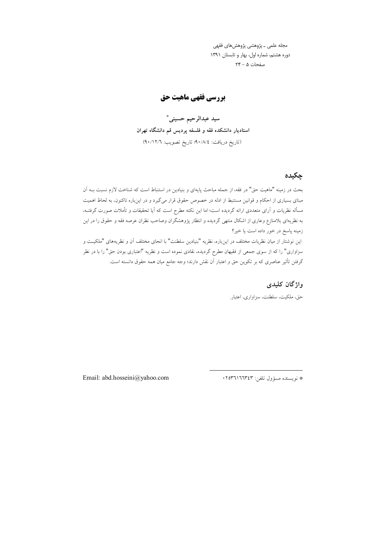مجله علمی ــ پژوهشی پژوهشهای فقهی دوره هشتم، شماره اول، بهار و تابستان ١٣٩١ صفحات ۵ - ۲۴

# **بررسی فقهی ماهیت حق**

سيد عبدالرحيم حسيني\* استادیار دانشکده فقه و فلسفه پردیس قم دانشگاه تهران (تاريخ دريافت: ٩٠/٨/٤ تاريخ تصويب: ٩٠/١٢/٦)

# چکیدہ

بحث در زمینه "ماهیت حق" در فقه، از جمله مباحث پایهای و بنیادین در استنباط است که شناخت لازم نسبت بــه اَن مبنای بسیاری از احکام و قوانین مستنبط از ادله در خصوص حقوق قرار میگیرد و در اینباره تاکنون، به لحاظ اهمیت مسأله نظریات و آرای متعددی ارائه گردیده است؛ اما این نکته مطرح است که آیا تحقیقات و تأملات صورت گرفتــه، به نظریهای بلامنازع وعاری از اشکال منتهی گردیده و انتظار پژوهشگران وصاحب نظران عرصه فقه و حقوق را در این زمینه پاسخ در خور داده است یا خیر؟ این نوشتار از میان نظریات مختلف در اینباره، نظریه "بنیادین سلطنت" با انحای مختلف آن و نظریههای "ملکیـت و سزاواری" را که از سوی جمعی از فقیهان مطرح گردیده، نقادی نموده است و نظریه "اعتباری بودن حق" را با در نظر گرفتن تأثیر عناصری که بر تکوین حق و اعتبار آن نقش دارند؛ وجه جامع میان همه حقوق دانسته است.

## واژگان کليدي

حق، ملكيت، سلطنت، سزاواري، اعتبار.

Email: abd.hosseini@yahoo.com

\* نويسنده مسؤول تلفن: ١٢٥٣٦١٦٦٣٤٣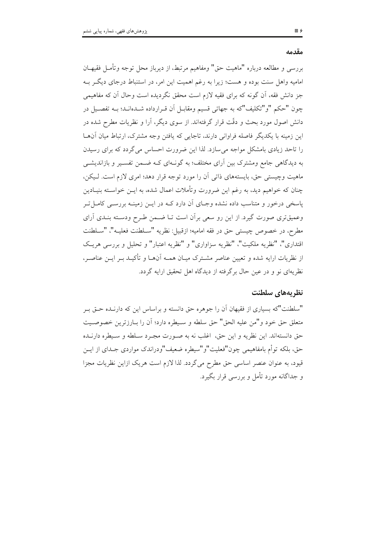#### مقدمه

بررسي و مطالعه درباره "ماهيت حق" ومفاهيم مرتبط، از ديرباز محل توجه وتأمـل فقيهــان امامیه واهل سنت بوده و هست؛ زیرا به رغم اهمیت این امر، در استنباط درجای دیگر بـه جز دانش فقه، اَن گونه که برای فقیه لازم است محقق نگردیده است وحال اَن که مفاهیمی چون "حکم "و"تکلیف"که به جهاتی قسیم ومقابـل آن قـرارداده شــدهانـد؛ بــه تفصــیل در دانش اصول مورد بحث و دقّت قرار گرفتهاند. از سوی دیگر، آرا و نظریات مطرح شده در این زمینه با یکدیگر فاصله فراوانی دارند، تاجایی که یافتن وجه مشترک، ارتباط میان آن ها را تاحد زیادی بامشکل مواجه می سازد. لذا این ضرورت احساس می گردد که برای رسیدن به دیدگاهی جامع ومشترک بین آرای مختلف؛ به گونـهای کـه ضـمن تفسـیر و بازاندیشـی ماهیت وچیستی حق، بایستههای ذاتی آن را مورد توجه قرار دهد؛ امری لازم است. لیکن، چنان که خواهیم دید، به رغم این ضرورت وتأملات اعمال شده، به ایــن خواســته بنیــادین یاسخی درخور و متناسب داده نشده وجـای آن دارد کـه در ایــن زمینــه بررســی کامــل تــر وعمیقتری صورت گیرد. از این رو سعی برآن است تـا ضـمن طـرح ودسـته بنـدی آرای مطرح، در خصوص چیستی حق در فقه امامیه؛ ازقبیل: نظریه "ســلطنت فعلیــه"، "ســلطنت اقتداري"، "نظريه ملكيت"، "نظريه سزاواري" و "نظريه اعتبار" و تحليل و بررسي هريك از نظریات ارایه شده و تعیین عناصر مشـترک میـان همـه آن۱مـا و تأکیــد بــر ایــن عناصــر، نظریهای نو و در عین حال برگرفته از دیدگاه اهل تحقیق ارایه گردد.

#### نظريههاي سلطنت

"سلطنت"که بسیاری از فقیهان آن را جوهره حق دانسته و براساس این که دارنـده حــق بــر متعلق حق خود و"من عليه الحق" حق سلطه و سـيطره دارد؛ أن را بــارزترين خصوصـيت حق دانستهاند. این نظریه و این حق، اغلب نه به صـورت مجـرد سـلطه و سـیطره دارنــده حق، بلكه توأم بامفاهيمي چون"فعليت"و"سيطره ضعيف"ودراندك مواردي جـداي از ايــن قیود، به عنوان عنصر اساسی حق مطرح می گردد. لذا لازم است هریک ازاین نظریات مجزا و جداگانه مورد تأمل و بررسی قرار بگیرد.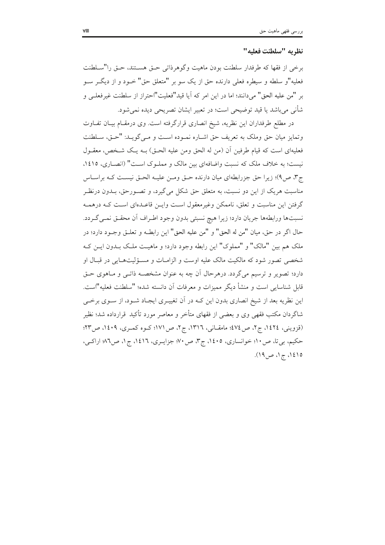#### نظريه "سلطنت فعليه"

برخي از فقها كه طرفدار سلطنت بودن ماهيت وگوهرذاتي حـق هســتند، حـق را"ســلطنت فعليه"و سلطه و سيطره فعلي دارنده حق از يک سو بر "متعلق حق" خــود و از ديگــر ســو بر "من عليه الحق" مي دانند؛ اما در اين امر كه آيا قيد"فعليت"احتراز از سلطنت غيرفعلـي و شأني مي باشد يا قيد توضيحي است؛ در تعبير ايشان تصريحي ديده نمي شود.

در مطلع طرفداران این نظریه، شیخ انصاری قرارگرفته است. وی درمقـام بیـان تفـاوت وتمايز ميان حق وملك به تعريف حق اشـاره نمـوده اسـت و مـي6ويـد: "حـق، سـلطنت فعليهاي است كه قيام طرفين أن (من له الحق ومن عليه الحـق) بـه يـك شـخص، معقـول نیست؛ به خلاف ملک که نسبت واضافهای بین مالک و مملوک است" (انصاری، ١٤١٥، ج٣، ص٩)؛ زيرا حق جزرابطهاي ميان دارنده حـق ومـن عليـه الحـق نيسـت كـه براسـاس مناسبت هریک از این دو نسبت، به متعلق حق شکل می گیرد، و تصـورحق، بـدون درنظـر گرفتن این مناسبت و تعلق، ناممکن وغیرمعقول است وایـن قاعـدهای اسـت کـه درهمـه نسبتها ورابطهها جريان دارد؛ زيرا هيچ نسبتي بدون وجود اطراف أن محقـق نمـي گـردد. حال اگر در حق، ميان "من له الحق" و "من عليه الحق" اين رابطـه و تعلـق وجـود دارد؛ در ملک هم بین "مالک" و "مملوک" این رابطه وجود دارد؛ و ماهیـت ملـک بــدون ایــن کــه شخصی تصور شود که مالکیت مالک علیه اوست و الزامـات و مسـؤلیتهـایی در قبـال او دارد؛ تصویر و ترسیم میگردد. درهرحال آن چه به عنوان مشخصـه ذاتـبی و مـاهوی حـق قابل شناسایی است و منشأ دیگر ممیزات و معرفات آن دانسته شده؛ "سلطنت فعلیه"است. این نظریه بعد از شیخ انصاری بدون این کـه در آن تغییـری ایجـاد شـود، از سـوی برخـی شاگردان مکتب فقهی وی و بعضی از فقهای متأخر و معاصر مورد تأکید قرارداده شد؛ نظیر (قزوینی، ١٤٢٤، ج۲، ص٤٧٤؛ مامقـانی، ١٣١٦، ج٢، ص١٧١؛ کـوه کمـری، ١٤٠٩، ص٣٣؛ حکيم، بي تا، ص ١٠؛ خوانساري، ١٤٠٥، ج٣، ص ٧٠؛ جزايـري، ١٤١٦، ج١، ص٨٦؛ اراكـي، ١٤١٥، ج١، ص١٩).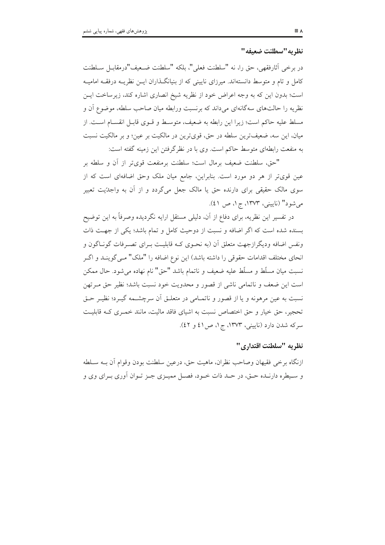نظريه "سطلنت ضعيفه "

در برخي أثارفقهي، حق را، نه "سلطنت فعلي"، بلكه "سلطنت ضـعيف"درمقابــل ســلطنت کامل و تام و متوسط دانستهاند. میرزای نایینی که از بنیانگذاران ایــن نظریــه درفقــه امامیــه است؛ بدون این که به وجه اعراض خود از نظریه شیخ انصاری اشاره کند، زیرساخت ایس نظریه را حالتهای سه گانهای میداند که برنسبت ورابطه میان صاحب سلطه، موضوع آن و مسلط عليه حاكم است؛ زيرا اين رابطه به ضعيف، متوسط و قـوى قابـل انقسـام اسـت. از میان، این سه، ضعیفترین سلطه در حق، قویترین در مالکیت بر عین؛ و بر مالکیت نسبت به منفعت رابطهای متوسط حاکم است. وی با در نظر گرفتن این زمینه گفته است:

"حق، سلطنت ضعيف برمال است؛ سلطنت برمنفعت قوىتر از أن و سلطه بر عین قویتر از هر دو مورد است. بنابراین، جامع میان ملک وحق اضافهای است که از سوی مالک حقیقی برای دارنده حق یا مالک جعل میگردد و از آن به واجدّیت تعبیر مي شود" (ناييني، ١٣٧٣، ج١، ص ٤١).

در تفسیر این نظریه، برای دفاع از آن، دلیلی مستقل ارایه نگردیده وصرفاً به این توضیح بسنده شده است كه اگر اضافه و نسبت از دوحیث كامل و تمام باشد؛ یكی از جهت ذات ونفس اضافه ودیگرازجهت متعلق آن (به نحـوی کـه قابلیـت بـرای تصـرفات گونـاگون و انحای مختلف اقدامات حقوقی را داشته باشد) این نوع اضافه را "ملک" مـی گوینـد و اگـر نسبت میان مسلّط و مسلّط علیه ضعیف و ناتمام باشد "حق" نام نهاده میشود. حال ممکن است این ضعف و ناتمامی ناشی از قصور و محدویت خود نسبت باشد؛ نظیر حق مـرتهن نسبت به عین مرهونه و یا از قصور و ناتمـامی در متعلـق آن سرچشـمه گیــرد؛ نظیــر حــق تحجیر، حق خیار و حق اختصاص نسبت به اشیای فاقد مالیت، مانند خمیری کـه قابلیـت سرکه شدن دارد (نایینی، ۱۳۷۳، ج۱، ص13 و ٤٢).

### نظريه "سلطنت اقتداري"

ازنگاه برخی فقیهان وصاحب نظران، ماهیت حق، درعین سلطنت بودن وقوام آن بــه سـلطه و سـيطره دارنــده حــق، در حــد ذات خــود، فصــل مميــزي جــز تــوان أوري بــراي وي و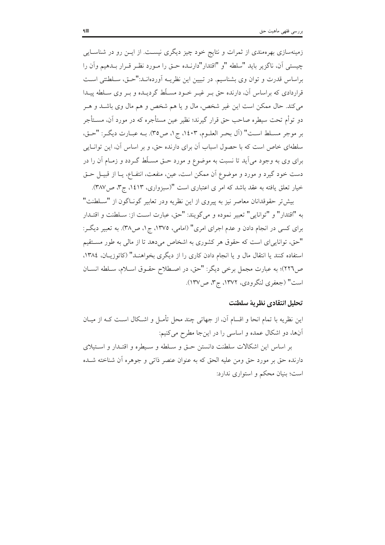زمینهسازی بهرهمندی از ثمرات و نتایج خود چیز دیگری نیست. از ایــن رو در شناســایی چیستی آن، ناگزیر باید "سلطه "و "اقتدار"دارنـده حـق را مـورد نظـر قـرار بـدهیم وآن را براساس قدرت و توان وی بشناسیم. در تبیین این نظریــه آوردهانــد:"حــق، ســلطنتی اســت قراردادی که براساس آن، دارنده حق بـر غیـر خـود مسـلّط گردیــده و بـر وی سـلطه پیــدا مي كند. حال ممكن است اين غير شخص، مال و يا هم شخص و هم مال وي باشــد و هــر دو توأم تحت سيطره صاحب حق قرار گيرند؛ نظير عين مستأجره كه در مورد آن، مســتأجر بر موجر مسلط است" (آل بحر العلـوم، ١٤٠٣، ج١، ص٣٥). بـه عبـارت ديگـر: "حـق، سلطهای خاص است که با حصول اسباب آن برای دارنده حق، و بر اساس آن، این توانایی برای وی به وجود می آید تا نسبت به موضوع و مورد حـق مسـلّط گـردد و زمـام آن را در دست خود گیرد و مورد و موضوع آن ممکن است، عین، منفعت، انتفـاع، یــا از قبیــل حــق خیار تعلق یافته به عقد باشد که امر ی اعتباری است "(سبزواری، ۱٤۱۳، ج۳، ص۳۸۷).

بيش تر حقوقدانان معاصر نيز به پيروي از اين نظريه ودر تعابير گونــاگون از "ســلطنت" به "اقتدار" و "توانايي" تعبير نموده و مي گويند: "حق، عبارت است از: سـلطنت و اقتـدار برای کسی در انجام دادن و عدم اجرای امری" (امامی، ۱۳۷۵، ج۱، ص۳۸). به تعبیر دیگر: "حق، توانایییای است که حقوق هر کشوری به اشخاص میدهد تا از مالی به طور مستقیم استفاده کنند یا انتقال مال و یا انجام دادن کاری را از دیگری بخواهنـد" (کاتوزیـان، ١٣٨٤، ص٢٢٦)؛ به عبارت مجمل برخي ديگر: "حق، در اصطلاح حقـوق اسـلام، سـلطه انسـان است" (جعفري لنگرودي، ١٣٧٢، ج٣، ص١٣٧).

### تحليل انتقادى نظرية سلطنت

این نظریه با تمام انحا و اقسام آن، از جهاتی چند محل تأمـل و اشـكال اسـت كـه از ميـان أنها، دو اشكال عمده و اساسى را در اينجا مطرح مى كنيم:

بر اساس این اشکالات سلطنت دانستن حتی و سـلطه و سـیطره و اقتـدار و اسـتیلای دارنده حق بر مورد حق ومن عليه الحق كه به عنوان عنصر ذاتي و جوهره آن شناخته شــده است؛ بنیان محکم و استواری ندارد: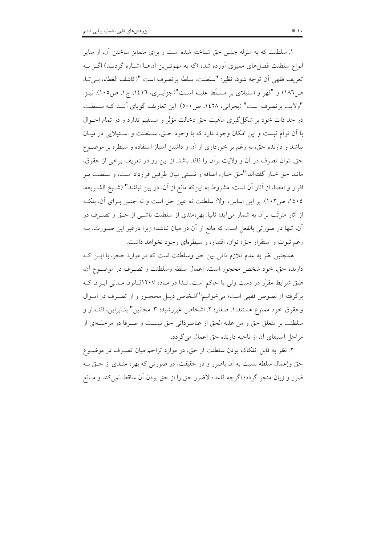۱. سلطنت که به منزله جنس حق شناخته شده است و برای متمایز ساختن آن، از سایر انواع سلطنت فصلهای ممیزی اَورده شده (که به مهمتـرین اَنهـا اشـاره گردیـد) اگــر بــه تعريف فقهي أن توجه شود، نظير: "سلطنت، سلطه برتصرف است "(كاشف الغطاء، ببي تــا، ص١٨٦) و "قهر و استيلاي بر مسـلِّط عليـه اسـت"(جزايـري، ١٤١٦، ج١، ص١٠٥). نيـز: "ولايت بر تصرف است" (بحراني، ١٤٢٨، ص٥٠٠). اين تعاريف گوياي آننـد كـه سـلطنت در حد ذات خود بر شکل گیری ماهیت حق دخالت مؤثّر و مستقیم ندارد و در تمام احــوال با اَن توأم نیست و این امکان وجود دارد که با وجود حـق، ســلطنت و اســتیلایی در میــان نباشد و دارنده حق، به رغم بر خورداری از آن و داشتن امتیاز استفاده و سیطره بر موضـوع حق، توان تصرف در آن و ولايت برآن را فاقد باشد. از اين رو در تعريف برخي از حقوق، مانند حق خيار گفتهاند:"حق خيار، اضافه و نسبتي ميان طرفين قرارداد است، و سلطنت بـر اقرار و امضا، از آثار آن است؛ مشروط به این که مانع از آن، در بین نباشد" (شـیخ الشـریعه، ١٤٠٥، ص١٠٢). بر اين اساس، اولا: سلطنت نه عين حق است و نه جنس بـراي آن، بلكـه از آثار مترتّب برآن به شمار می∫ید؛ ثانیا: بهرهمندی از سلطنت ناشــی از حــق و تصــرف در أن، تنها در صورتی بالفعل است که مانع از أن در میان نباشد؛ زیرا درغیر این صــورت، بــه رغم ثبوت و استقرار حق؛ توان، اقتدار، و سيطرهاي وجود نخواهد داشت.

همچنین نظر به عدم تلازم ذاتی بین حق وسلطنت است که در موارد حجر، با ایــن کــه دارنده حق، خود شخص محجور است، إعمال سلطه وسلطنت و تصـرف در موضـوع آن، طبق شرایط مقرّر در دست ولی یا حاکم است. لـذا در مـاده ۱۲۰۷قـانون مـدنی ایــران کــه برگرفته از نصوص فقهی است؛ می خوانیم:"اشخاص ذیـل محجـور و از تصـرف در امـوال وحقوق خود ممنوع هستند: ١. صغار؛ ٢. اشخاص غيررشيد؛ ٣. مجانين" بنـابراين، اقتـدار و سلطنت بر متعلق حق و من عليه الحق از عناصرذاتي حق نيست و صـرفا در مرحلـهاي از مراحل استيفاي آن از ناحيه دارنده حق إعمال مي گردد.

۲. نظر به قابل انفکاک بودن سلطنت از حق، در موارد تزاحم میان تصـرف در موضــوع حق وإعمال سلطه نسبت به أن باضرر و در حقیقت، در صورتی که بهره منـدی از حــق بــه ضرر و زيان منجر گردد؛ اگرچه قاعده لاضرر حق را از حق بودن آن ساقط نمي كند و مـانع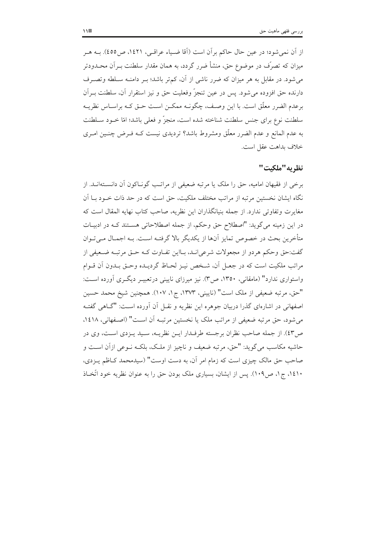از اَن نمي شود؛ در عين حال حاكم براَن است (اَقا ضـياء عراقـي، ١٤٢١، ص٥٥). بــه هــر میزان که تصرّف در موضوع حق، منشأ ضرر گردد، به همان مقدار سلطنت بــراَن محــدودتر می شود. در مقابل به هر میزان که ضرر ناشی از آن، کم تر باشد؛ بـر دامنـه سـلطه وتصـرف دارنده حق افزوده می شود. پس در عین تنجزّ وفعلیت حق و نیز استقرار آن، سلطنت بـرآن برعدم الضرر معلَّق است. با این وصـف، چگونــه ممکــن اســت حــق کــه براســاس نظریــه سلطنت نوع براي جنس سلطنت شناخته شده است، منجزٌ و فعلي باشد؛ امّا خـود سـلطنت به عدم المانع و عدم الضرر معلَّق ومشروط باشد؟ تردیدی نیست کـه فـرض چنـین امـری خلاف بداهت عقل است.

# نظريه"ملكت"

برخی از فقیهان امامیه، حق را ملک یا مرتبه ضعیفی از مراتب گونـاکون آن دانسـتهانـد. از نگاه ایشان نخستین مرتبه از مراتب مختلف ملکیت، حق است که در حد ذات خـود بــا اَن مغايرت وتفاوتي ندارد. از جمله بنيانگذاران اين نظريه، صاحب كتاب نهايه المقال است كه در این زمینه میگوید: "اصطلاح حق وحکم، از جمله اصطلاحاتی هسـتند کـه در ادبیـات متأخرين بحث در خصوص تمايز آنها از يكديگر بالا گرفتـه اسـت. بـه اجمـال مـي تـوان گفت:حق وحکم هردو از مجعولات شرعي انـد، بـااين تفـاوت کـه حـق مرتبـه ضـعيفي از مراتب ملکیت است که در جعـل آن، شـخص نیـز لحـاظ گردیـده وحـق بـدون آن قــوام واستواری ندارد" (مامقانی، ۱۳۵۰، ص۳). نیز میرزای نایینی درتعبیـر دیگـری آورده اسـت: "حق، مرتبه ضعيفي از ملك است" (ناييني، ١٣٧٣، ج١، ١٠٧). همچنين شيخ محمد حسين اصفهانی در اشارهای گذرا دربیان جوهره این نظریه و نقـل آن آورده اسـت: "گــاهی گفتــه می شود، حق مرتبه ضعیفی از مراتب ملک یا نخستین مرتبـه آن اسـت" (اصـفهانی، ۱٤۱۸، ص٤٣). از جمله صاحب نظران برجسته طرفـدار ايــن نظريــه، سـيد يــزدي اسـت، وي در حاشیه مکاسب می گوید: "حق، مرتبه ضعیف و ناچیز از ملک، بلکـه نـوعی ازآن اسـت و صاحب حق مالک چیزی است که زمام امر آن، به دست اوست" (سیدمحمد کـاظم پـزدی، ۱٤۱۰، ج۱، ص۱۰۹). پس از ایشان، بسیاری ملک بودن حق را به عنوان نظریه خود اتّخاذ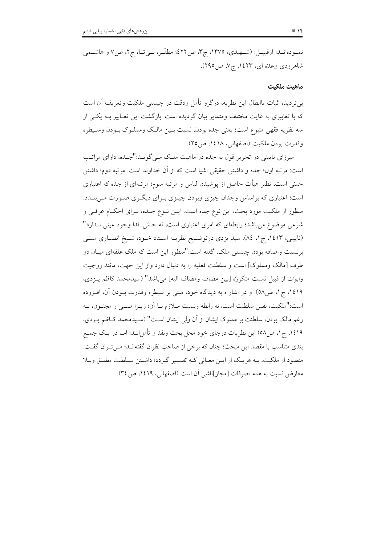#### ماهت ملكىت

بی تردید، اثبات پاابطال این نظریه، درگرو تأمل ودقت در چیستی ملکیت وتعریف آن است که با تعابیری به غایت مختلف ومتمایز بیان گردیده است. بازگشت این تعـابیر بـه یکـی از سه نظريه فقهي متبوع است؛ يعني جده بودن، نسبت بـين مالـك ومملـوك بـودن وسـيطره وقدرت بودن ملكيت (اصفهاني، ١٤١٨، ص٢٥).

میرزای نایینی در تحریر قول به جده در ماهیت ملک مـی گویــد:"جــده، دارای مراتــب است: مرتبه اول؛ جده و داشتن حقیقی اشیا است که از آن خداوند است. مرتبه دوم؛ داشتن حسَّى است، نظیر هیأت حاصل از یوشیدن لباس و مرتبه سوم؛ مرتبهای از جده که اعتباری است؛ اعتباری که براساس وجدان چیزی وبودن چیـزی بـرای دیگـری صـورت مـیبنـدد. منظور از ملکیت مورد بحث، این نوع جده است. ایــن نــوع جــده، بــرای احکــام عرفــی و شرعی موضوع می باشد؛ رابطهای که امری اعتباری است، نه حسّی ِ لذا وجود عینی نـدارد" (ناييني، ١٤١٣، ج ١، ٨٤). سيد يزدي درتوضيح نظريــه اسـتاد خــود، شـيخ انصــاري مبنــي برنسبت واضافه بودن چیستی ملک، گفته است:"منظور این است که ملک علقهای میـان دو طرف [مالک ومملوک] است و سلطنت فعلیه را به دنبال دارد واز این جهت، مانند زوجیت وابوّت از قبيل نسبت متكررَه [بين مضاف ومضاف اليه] ميباشد" (سيدمحمد كاظم يـزدي، ١٤١٩، ج١، ص٥٨). و در اشار ه به ديدگاه خود، مبنى بر سيطره وقدرت بـودن آن، افـزوده است:"ملكيت، نفس سلطنت است، نه رابطه ونسبت مــلازم بــا آن؛ زيــرا صــبي و مجنــون، بــه رغم مالک بودن، سلطنت بر مملوک ایشان از آن ولی ایشان است" (سـیدمحمد کـاظم پـزدی، ١٤١٩، ج١، ص٥٨) اين نظريات درجاي خود محل بحث ونقد و تأمل|نــد؛ امــا در يــک جمــع بندي متناسب با مقصد اين مبحث؛ چنان كه برخي از صاحب نظران گفتهانـد؛ مـي تـوان گفـت: مقصود از ملکیت، بـه هریـک از ایــن معــانی کــه تفســیر گــردد؛ داشــتن ســلطنت مطلــق وبــلا معارض نسبت به همه تصرفات [مجاز]ناشی آن است (اصفهانی، ۱۶۱۹، ص۳۶).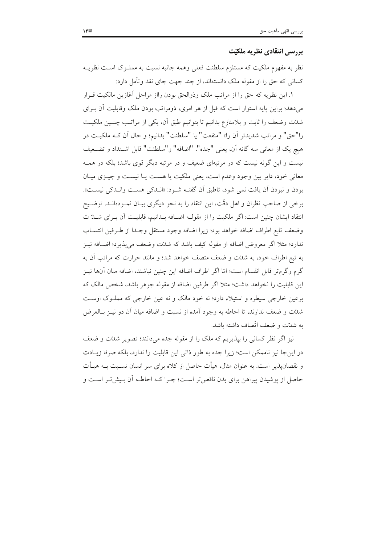### بررسي انتقادي نظريه ملكيّت

نظر به مفهوم ملکیت که مستلزم سلطنت فعلی وهمه جانبه نسبت به مملـوک اسـت نظریــه کسانی که حق را از مقوله ملک دانستهاند، از چند جهت جای نقد وتأمل دارد:

١. اين نظريه كه حق را از مراتب ملك وذوالحق بودن رااز مراحل أغازين مالكيت قــرار میدهد؛ براین پایه استوار است که قبل از هر امری، ذومراتب بودن ملک وقابلیت آن بـرای شدّت وضعف را ثابت و بلامنازع بدانیم تا بتوانیم طبق آن، یکی از مراتـب چنـین ملکیـت را"حق" و مراتب شديدتر أن را» "منفعت" يا "سلطنت" بدانيم؛ و حال أن كـه ملكيـت در هيچ يک از معانى سه گانه آن، يعنى "جده"، "اضافه" و"سلطنت" قابل اشــتداد و تضــعيف نیست و این گونه نیست که در مرتبهای ضعیف و در مرتبه دیگر قوی باشد؛ بلکه در همـه معانی خود، دایر بین وجود وعدم است، یعنی ملکیت یا هست یـا نیسـت و چیـزی میـان بودن و نبودن آن يافت نمي شود، تاطبق آن گفتـه شـود: «انــدكي هسـت وانــدكي نيسـت». برخی از صاحب نظران و اهل دقَّت، این انتقاد را به نحو دیگری بیـان نمـودهانــد. توضــیح انتقاد ایشان چنین است: اگر ملکیت را از مقولـه اضـافه بـدانیم، قابلیـت آن بـرای شـدّ ت وضعف تابع اطراف اضافه خواهد بود؛ زيرا اضافه وجود مستقل وجـدا از طـرفين انتســاب ندارد؛ مثلا اگر معروض اضافه از مقوله کیف باشد که شدّت وضعف می پذیرد؛ اضـافه نیــز به تبع اطراف خود، به شدّت و ضعف متصف خواهد شد؛ و مانند حرارت که مراتب آن به گرم وگرم¤ر قابل انقسام است؛ امّا اگر اطراف اضافه این چنین نباشند، اضافه میان آنها نیــز این قابلیت را نخواهد داشت؛ مثلا اگر طرفین اضافه از مقوله جوهر باشد، شخص مالک که برعین خارجی سیطره و استیلاء دارد؛ نه خود مالک و نه عین خارجی که مملـوک اوسـت شدّت و ضعف ندارند، تا احاطه به وجود آمده از نسبت و اضافه میان آن دو نیــز بــالعرض به شدّت و ضعف اتّصاف داشته باشد.

نیز اگر نظر کسانی را بپذیریم که ملک را از مقوله جده میدانند؛ تصویر شدّت و ضعف در اینجا نیز ناممکن است؛ زیرا جده به طور ذاتی این قابلیت را ندارد، بلکه صرفا زیـادت و نقصان پذیر است. به عنوان مثال، هیأت حاصل از کلاه برای سر انسان نسـبت بــه هیــأت حاصل از پوشیدن پیراهن برای بدن ناقص تر است؛ چـرا کـه احاطـه آن بـیشتر اسـت و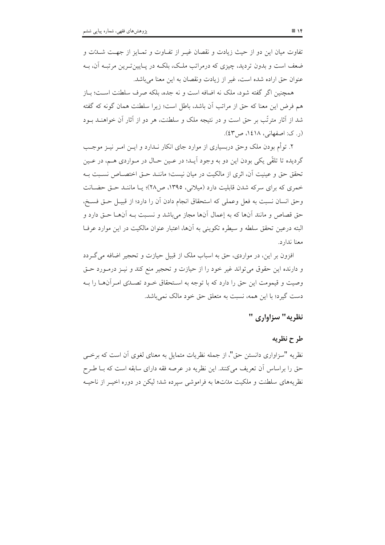تفاوت میان این دو از حیث زیادت و نقصان غیـر از تفـاوت و تمـایز از جهـت شــدّت و ضعف است و بدون تردید، چیزی که درمراتب ملک، بلکـه در پـایینتـرین مرتبـه آن، بـه عنوان حق اراده شده است، غیر از زیادت و نقصان به این معنا می باشد.

همچنین اگر گفته شود، ملک نه اضافه است و نه جده، بلکه صرف سلطنت اسـت؛ بـاز هم فرض این معنا که حق از مراتب آن باشد، باطل است؛ زیرا سلطنت همان گونه که گفته شد از آثار مترتّب بر حق است و در نتیجه ملک و سلطنت، هر دو از آثار آن خواهنــد بــود (ر. ک: اصفهانی، ۱٤۱۸، ص ٤٣).

۲. توأم بودن ملک وحق دربسیاری از موارد جای انکار نــدارد و ایــن امــر نیــز موجــب گرديده تا تلقّي يکي بودن اين دو به وجود آيـد؛ در عـين حـال در مـواردي هـم، در عـين تحقق حق و عينيت آن، اثرى از مالكيت در ميان نيست؛ ماننـد حـق اختصــاص نسـبت بـه خمری که برای سرکه شدن قابلیت دارد (میلانی، ۱۳۹۵، ص۲۸)؛ یـا ماننـد حـق حضـانت وحق انسان نسبت به فعل وعملي كه استحقاق انجام دادن أن را دارد؛ از قبيـل حـق فسـخ، حق قصاص و مانند آنها كه به إعمال آنها مجاز مي باشد و نسـبت بـه آنهــا حــق دارد و البته درعین تحقق سلطه و سیطره تکوینی به آنها، اعتبار عنوان مالکیت در این موارد عرفـا معنا ندارد.

افزون بر این، در مواردی، حق به اسباب ملک از قبیل حیازت و تحجیر اضافه می گـردد و دارنده این حقوق می تواند غیر خود را از حیازت و تحجیر منع کند و نیـز درمـورد حـق وصیت و قیمومت این حق را دارد که با توجه به اسـتحقاق خـود تصـدّی امـرآن۱مـا را بـه دست گیرد؛ با این همه، نسبت به متعلق حق خود مالک نمیباشد.

## نظريه" سزاواري "

### طرح نظريه

نظریه "سزاواری دانستن حق"، از جمله نظریات متمایل به معنای لغوی آن است که برخبی حق را براساس آن تعریف میکنند. این نظریه در عرصه فقه دارای سابقه است که بـا طـرح نظریههای سلطنت و ملکیت مدّتها به فراموشی سیرده شد؛ لیکن در دوره اخیــر از ناحیــه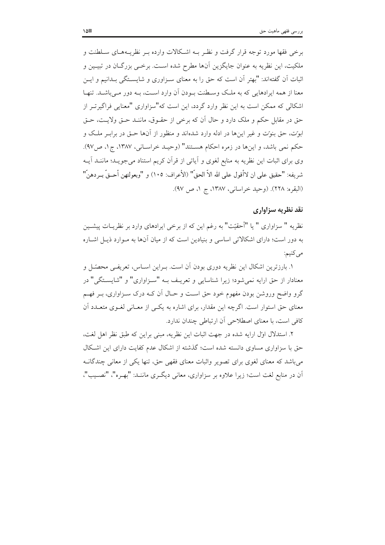برخی فقها مورد توجه قرار گرفت و نظـر بــه اشـكالات وارده بــر نظریــههـای ســلطنت و ملکیت، این نظریه به عنوان جایگزین آنها مطرح شده است. برخــی بزرگــان در تبیــین و اثبات آن گفتهاند: "بهتر آن است که حق را به معنای سـزاوری و شایســتگی بـدانیم و ایــن معنا از همه ایرادهایی که به ملک وسـطنت بـودن آن وارد اسـت، بـه دور مـی باشـد. تنهـا اشکالی که ممکن است به این نظر وارد گردد، این است که"سزاواری "معنایی فراگیرتـر از حق در مقابل حکم و ملک دارد و حال آن که برخی از حقـوق، مانـنـد حـق ولايـت، حـق ابوّت، حق بنوّت و غیر اینها در ادله وارد شدهاند و منظور از آنها حـق در برابـر ملـک و حکم نمی باشد، و اینها در زمره احکام هسـتند" (وحیـد خراسـانی، ۱۳۸۷، ج۱، ص۹۷). وی برای اثبات این نظریه به منابع لغوی و آیاتی از قرآن کریم استناد می جویـد؛ ماننــد آیــه شريفه: "حقيق على ان لاأقول على الله الاّ الحقّ" (الأعراف: ١٠٥) و "وبعولتهن أحــقّ بــردهنّ" (البقره: ٢٢٨). (وحيد خراساني، ١٣٨٧، ج ١، ص ٩٧).

### نقد نظریه سزاواری

نظريه " سزاواري " يا "أحقيّت" به رغم اين كه از برخي ايرادهاي وارد بر نظريــات پيشــين به دور است؛ دارای اشکالاتی اساسی و بنیادین است که از میان آنها به مـوارد ذیـل اشـاره مي کنيم:

١. بارزترین اشکال این نظریه دوری بودن آن است. بـراین اسـاس، تعریفـی محصّـل و معنادار از حق ارايه نمي شود؛ زيرا شناسايي و تعريـف بــه "ســزاواري" و "شايســتگي" در گرو واضح وروشن بودن مفهوم خود حق است و حـال اَن کـه درک سـزاواری، بـر فهـم معنای حق استوار است. اگرچه این مقدار، برای اشاره به یکسی از معـانی لغـوی متعـدد آن كافي است، با معناي اصطلاحي أن ارتباطي چندان ندارد.

٢. استدلال اوّل ارايه شده در جهت اثبات اين نظريه، مبنى براين كه طبق نظر اهل لغت، حق با سزاواری مساوی دانسته شده است؛ گذشته از اشکال عدم کفایت دارای این اشکال می باشد که معنای لغوی برای تصویر واثبات معنای فقهی حق، تنها یکی از معانی چندگانـه آن در منابع لغت است؛ زیرا علاوه بر سزاواری، معانی دیگری ماننـد: "بهـره"، "نصـیب"،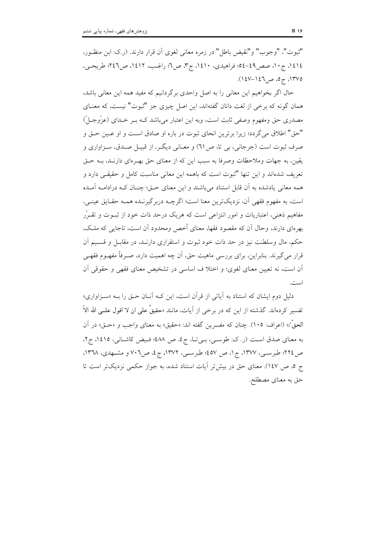"ثبوت"، "وجوب" و"نقيض باطل" در زمره معاني لغوى أن قرار دارند. (ر.ک: ابن منظـور، ١٤١٤، ج١٠، صص٤٩-٥٤؛ فراهيدي، ١٤١٠، ج٣، ص٦؛ راغـب، ١٤١٢، ص٤٢٢؛ طريحـي، ١٣٧٥، ج٥، ص١٤٦-١٤٧).

حال اگر بخواهیم این معانی را به اصل واحدی برگردانیم که مفید همه این معانی باشد، همان گونه که برخی از لغت دانان گفتهاند، این اصل چیزی جز "ثبوت" نیست، که معنـای مصدری حق ومفهوم وصفی ثابت است، وبه این اعتبار می باشد کـه بـر خـدای (عزّوجـلّ) "حق" اطلاق مي گردد؛ زيرا برترين انحاي ثبوت در باره او صادق است و او عـين حـق و صرف ثبوت است (جرجاني، بي تا، ص٦١) و معـاني ديگـر، از قبيـل صـدق، سـزاواري و يقين، به جهات وملاحظات وصرفا به سبب اين كه از معناي حق بهـرهاي دارنـد، بــه حــق تعریف شدهاند و این تنها "ثبوت است که باهمه این معانی مناسبت کامل و حقیقے دارد و همه معانی یادشده به آن قابل استناد می باشند و این معنای حـق؛ چنــان کــه درادامــه آمــده است، به مفهوم فقهی آن، نزدیکترین معنا است؛ اگرچــه دربر گیرنــده همــه حقــایق عینــی، مفاهیم ذهنی، اعتباریات و امور انتزاعی است که هریک درحد ذات خود از ثبــوت و تقــرّر بهرهای دارند، وحال اّن که مقصود فقها، معنای أخص ومحدود اّن است، تاجایی که ملـک، حکم، مال وسلطنت نیز در حد ذات خود ثبوت و استقراری دارنـد، در مقابـل و قسـیم آن قرار می گیرند. بنابراین، برای بررسی ماهیت حق، آن چه اهمیت دارد، صـرفاً مفهـوم فقهـی أن است، نه تعیین معنای لغوی؛ و اختلا ف اساسی در تشخیص معنای فقهی و حقوقی أن است.

دلیل دوم ایشان که استناد به آیاتی از قرآن است، این کـه آنـان حـق را بـه «سـزاواری» تفسیر کردهاند. گذشته از این که در برخی از آیات، مانند «حقیقٌ علی ان لا اقول علــی الله الاّ الحقَّ/» (اعراف: ١٠٥). چنان كه مفسرين گفته اند: «حقيق» به معناي واجب و «حـق» در آن به معنای صدق است (ر. ک: طوسی، بی تا، ج٤، ص ٤٨٨؛ فیض کاشانی، ١٤١٥، ج٢، ص ٢٢٤؛ طبرسبي، ١٣٧٧، ج١، ص ٤٥٧؛ طبرسبي، ١٣٧٢، ج٤، ص٢٠٦ و مشـهدي، ١٣٦٨، ج ٥، ص ١٤٧). معناي حق در بيش تر آيات استناد شده، به جواز حكمي نزديك تر است تا حق به معنای مصطلح.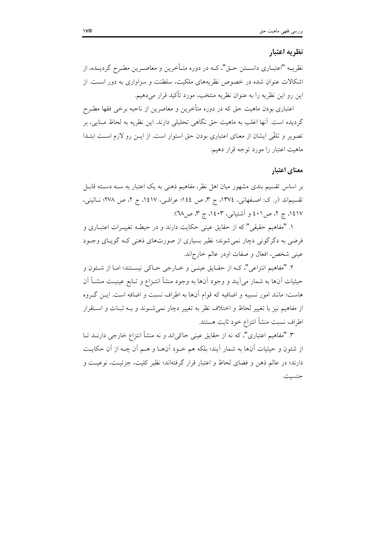# نظريه اعتبار

نظریــه "اعتبــاری دانســتن حــق"، کــه در دوره متــأخرین و معاصــرین مطــرح گردیــده، از اشکالات عنوان شده در خصوص نظریههای ملکیت، سلطنت و سزاواری به دور است. از این رو این نظریه را به عنوان نظریه منتخب، مورد تأکید قرار میدهیم.

اعتباری بودن ماهیت حق که در دوره متأخرین و معاصرین از ناحیه برخی فقها مطـرح گردیده است. آنها اغلب به ماهیت حق نگاهی تحلیلی دارند. این نظریه به لحاظ مبنایی، بر تصویر و تلقّی ایشان از معنای اعتباری بودن حق استوار است. از ایــن رو لازم اسـت ابتــدا ماهيت اعتبار را مورد توجه قرار دهيم:

### معناي اعتبار

بر اساس تقسیم بندی مشهور میان اهل نظر، مفاهیم ذهنی به یک اعتبار به سـه دسـته قابـل تقسیماند (ر. ک: اصفهانی، ١٣٧٤، ج ٣، ص ١٤٤؛ عراقبی، ١٤١٧، ج ٢، ص ٢٧٨؛ نـائيني، ١٤١٧، ج ٢، ص٤٠١ و أشتياني، ١٤٠٣، ج ٣، ص٦٧):

١. "مفاهيم حقيقي" كه از حقايق عيني حكايت دارند و در حيطـه تغييــرات اعتبــاري و فرضي به دگرگوني دچار نمي شوند؛ نظير بسياري از صورتهاي ذهني كـه گويـاي وجـود عینی شخص، افعال و صفات اودر عالم خارجاند.

٢. "مفاهيم انتزاعي"، كـه از حقـايق عينـي و خـارجي حـاكي نيسـتند؛ امـا از شـئون و حيثيات أنها به شمار مي∫يند و وجود أنها به وجود منشأ انتـزاع و تـابع عينيـت منشـأ اَن هاست؛ مانند امور نسبیه و اضافیه که قوام آنها به اطراف نسبت و اضافه است. ایــز گــروه از مفاهیم نیز یا تغییر لحاظ و اختلاف نظر به تغییر دچار نمی شـوند و بـه ثبـات و اسـتقرار اطراف نسبت منشأ انتزاع خود ثابت هستند.

۳. "مفاهیم اعتباری"، که نه از حقایق عینی حاکیاند و نه منشأ انتزاع خارجی دارنــد تــا از شئون و حیثیات آنها به شمار آیند؛ بلکه هم خـود آنهـا و هـم آن چـه از آن حکایـت دارند؛ در عالم ذهن و فضاى لحاظ و اعتبار قرار گرفتهاند؛ نظیر کلیت، جزئیـت، نوعیـت و جنسيت.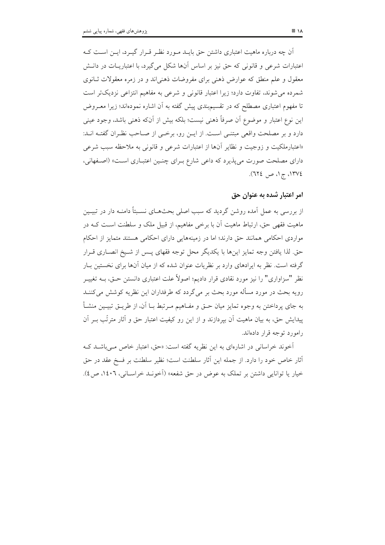آن چه درباره ماهیت اعتباری داشتن حق بایـد مـورد نظـر قـرار گبـرد، ایـن اسـت کـه اعتبارات شرعی و قانونی که حق نیز بر اساس آنها شکل می گیرد، با اعتباریــات در دانــش معقول و علم منطق که عوارض ذهنی برای مفروضات ذهنی|ند و در زمره معقولات ثـانوی شمرده می شوند، تفاوت دارد؛ زیرا اعتبار قانونی و شرعی به مفاهیم انتزاعی نزدیکتر است تا مفهوم اعتباری مصطلح که در تقسیمبندی پیش گفته به آن اشاره نمودهاند؛ زیرا معـروض این نوع اعتبار و موضوع آن صرفاً ذهنی نیست؛ بلکه بیش از آنکه ذهنی باشد، وجود عینی دارد و بر مصلحت واقعی مبتنـی اسـت. از ایـن رو، برخـی از صـاحب نظـران گفتـه انــد: «اعتبارملكيت و زوجيت و نظاير آنها از اعتبارات شرعى و قانونى به ملاحظه سبب شرعى دارای مصلحت صورت می پذیرد که داعی شارع بـرای چنـین اعتبـاری اسـت» (اصـفهانی، ،۱۳۷٤، ج۱، ص ،۱۳۷٤).

# امر اعتبار شده به عنوان حق

از بررسی به عمل آمده روشن گردید که سبب اصلی بحثهـای نسـبتاً دامنـه دار در تبيــين ماهیت فقهی حق، ارتباط ماهیت آن با برخی مفاهیم، از قبیل ملک و سلطنت است کـه در مواردی احکامی همانند حق دارند؛ اما در زمینههایی دارای احکامی هستند متمایز از احکام حق. لذا يافتن وجه تمايز اينها با يكديگر محل توجه فقهاي يـس از شـيخ انصـاري قـرار گرفته است. نظر به ایرادهای وارد بر نظریات عنوان شده که از میان آنها برای نخستین بـار نظر "سزاواری" را نیز مورد نقادی قرار دادیم؛ اصولاً علت اعتباری دانستن حــق، بــه تغییــر رویه بحث در مورد مسأله مورد بحث بر می گردد که طرفداران این نظریه کوشش می کننـد به جاي پرداختن به وجوه تمايز ميان حــق و مفــاهيم مــرتبط بــا اَن، از طريــق تبيــين منشــأ پیدایش حق، به بیان ماهیت آن بیردازند و از این رو کیفیت اعتبار حق و آثار مترتّب بــر آن رامورد توجه قرار دادهاند.

آخوند خراسانی در اشارهای به این نظریه گفته است: «حق، اعتبار خاص مـ باشـد کـه أثار خاص خود را دارد. از جمله این آثار سلطنت است؛ نظیر سلطنت بر فسخ عقد در حق خيار يا توانايي داشتن بر تملك به عوض در حق شفعه» (آخونـد خراسـاني، ١٤٠٦، ص ٤).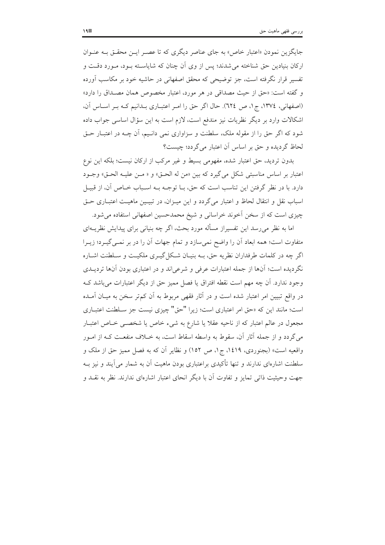جایگزین نمودن «اعتبار خاص» به جای عناصر دیگری که تا عصبر ایـن محقـق بـه عنـوان ارکان بنیادین حق شناخته می شدند؛ پس از وی اَن چنان که شایاسـته بـود، مـورد دقـت و تفسیر قرار نگرفته است، جز توضیحی که محقق اصفهانی در حاشیه خود بر مکاسب آورده و گفته است: «حق از حیث مصداقی در هر مورد، اعتبار مخصوص همان مصـداق را دارد» (اصفهانی، ١٣٧٤، ج١، ص ٦٢٤). حال اگر حق را امر اعتباري بـدانيم كـه بـر اسـاس آن، اشکالات وارد بر دیگر نظریات نیز مندفع است، لازم است به این سؤال اساسی جواب داده شود که اگر حق را از مقوله ملک، سلطنت و سزاواری نمی دانـیم، آن چــه در اعتبــار حــق لحاظ گردیده و حق بر اساس آن اعتبار می گردد؛ چیست؟

بدون تردید، حق اعتبار شده، مفهومی بسیط و غیر مرکب از ارکان نیست؛ بلکه این نوع اعتبار بر اساس مناسبتي شكل مي گيرد كه بين «من له الحـق» و « مـن عليـه الحـق» وجـود دارد. با در نظر گرفتن این تناسب است که حق، بــا توجــه بــه اســباب خــاص آن، از قبيــل اسباب نقل و انتقال لحاظ و اعتبار می گردد و این میـزان، در تبیـین ماهیـت اعتبـاری حـق چیزی است که از سخن آخوند خراسانی و شیخ محمدحسین اصفهانی استفاده می شود.

اما به نظر می٫سد این تفسیراز مسأله مورد بحث، اگر چه بنیانی برای پیدایش نظریــهای متفاوت است؛ همه ابعاد أن را واضح نمي سازد و تمام جهات أن را در بر نمـي گيـرد؛ زيـرا اگر چه در کلمات طرفداران نظریه حق، بــه بنیــان شــکل گیــری ملکیــت و ســلطنت اشــاره نگردیده است؛ آنها از جمله اعتبارات عرفی و شرعیاند و در اعتباری بودن آنها تردیــدی وجود ندارد. أن چه مهم است نقطه افتراق یا فصل ممیز حق از دیگر اعتبارات می باشد ک در واقع تبیین امر اعتبار شده است و در آثار فقهی مربوط به آن کم تر سخن به میـان آمـده است؛ مانند این که «حق امر اعتباری است؛ زیرا "حق" چیزی نیست جز سـلطنت اعتبـاری مجعول در عالم اعتبار که از ناحیه عقلاً یا شارع به شیء خاص یا شخصـی خـاص اعتبـار می گردد و از جمله آثار آن، سقوط به واسطه اسقاط است، به خــلاف منفعــت کــه از امــور واقعیه است» (بجنوردی، ۱٤۱۹، ج۱، ص ۱٥۲) و نظایر آن که به فصل ممیز حق از ملک و سلطنت اشارهای ندارند و تنها تأکیدی براعتباری بودن ماهیت آن به شمار می آیند و نیز بــه جهت وحیثیت ذاتی تمایز و تفاوت آن با دیگر انحای اعتبار اشارهای ندارند. نظر به نقـد و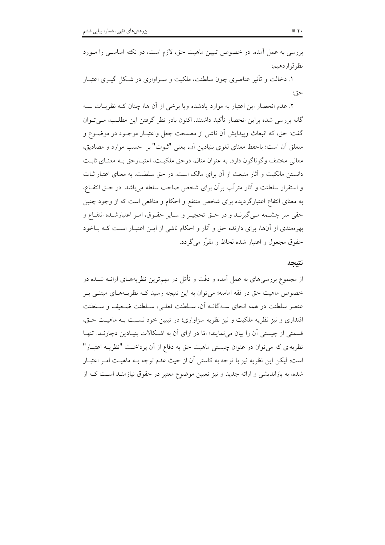بررسی به عمل آمده، در خصوص تبیین ماهیت حق، لازم است، دو نکته اساســی را مــورد نظرقراردهيم:

۱. دخالت و تأثیر عناصری چون سلطنت، ملکیت و سبزاواری در شبکل گیبری اعتبار حق؛

٢. عدم انحصار اين اعتبار به موارد يادشده ويا برخي از آن ها؛ چنان كـه نظريـات سـه گانه بررسی شده براین انحصار تأکید داشتند. اکنون بادر نظر گرفتن این مطلب، مـی تـوان گفت: حق، که انبعاث وییدایش اَن ناشی از مصلحت جعل واعتبــار موجــود در موضــوع و متعلق أن است؛ باحفظ معناي لغوي بنيادين أن، يعني "ثبوت" بر حسب موارد و مصاديق، معاني مختلف وگوناگون دارد. به عنوان مثال، درحق ملكيت، اعتبـارحق بـه معنـاي ثابـت دانستن مالکیت و آثار منبعث از آن برای مالک است. در حق سلطنت، به معنای اعتبار ثبات و استقرار سلطنت و أثار مترتَّب برأن براي شخص صاحب سلطه مي باشد. در حــق انتفــاع، به معنای انتفاع اعتبارگردیده برای شخص منتفع و احکام و منافعی است که از وجود چنین حقی سر چشـمه مـی&یرنـد و در حـق تحجیـر و سـایر حقـوق، امـر اعتبارشـده انتفـاع و بهرهمندی از آنها، برای دارنده حق و آثار و احکام ناشی از ایــن اعتبــار اســت کــه بــاخود حقوق مجعول و اعتبار شده لحاظ و مقرّر می گردد.

#### نتيجه

از مجموع بررسیهای به عمل آمده و دقّت و تأمّل در مهمترین نظریههـای ارائــه شــده در خصوص ماهیت حق در فقه امامیه؛ می توان به این نتیجه رسید کـه نظریـههـای مبتنـی بـر عنصر سلطنت در همه انحای سـهگانــه آن، سـلطنت فعلــي، سـلطنت ضــعيف و سـلطنت اقتداری و نیز نظریه ملکیت و نیز نظریه سزاواری؛ در تبیین خود نسـبت بـه ماهیـت حـق، قسمتی از چیستی آن را بیان می نمایند؛ امّا در ازای آن به اشـکالات بنیـادین دچارنــد. تنهـا نظریهای که می توان در عنوان چیستی ماهیت حق به دفاع از آن پرداخـت "نظریــه اعتبــار" است؛ ليكن اين نظريه نيز با توجه به كاستي آن از حيث عدم توجه بــه ماهيــت امــر اعتبــار شده، به بازاندیشی و ارائه جدید و نیز تعیین موضوع معتبر در حقوق نیازمنـد اسـت کــه از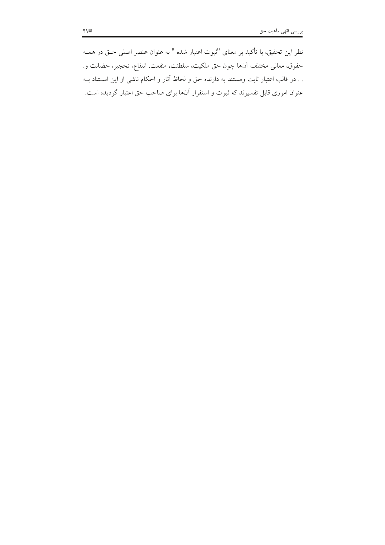نظر اين تحقيق، با تأكيد بر معناي "ثبوت اعتبار شده " به عنوان عنصر اصلي حــق در همــه حقوق، معاني مختلف أن\ها چون حق ملكيت، سلطنت، منفعت، انتفاع، تحجير، حضانت و. . . در قالب اعتبار ثابت ومستند به دارنده حق و لحاظ آثار و احکام ناشی از این اســتناد بــه عنوان اموری قابل تفسیرند که ثبوت و استقرار آنها برای صاحب حق اعتبار گردیده است.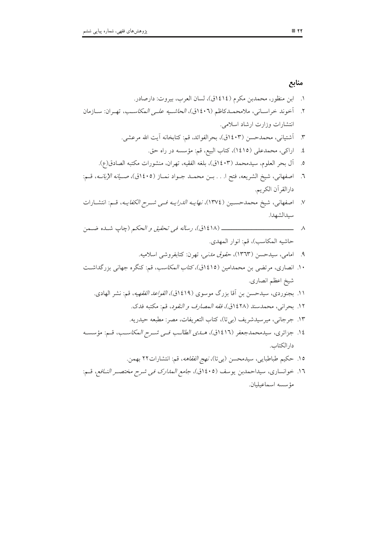١. ابن منظور، محمدبن مكرم (١٤١٤ق)، لسان العرب، بيروت: دارصادر. ٢. أخوند خراساني، ملامحمـدكاظم (١٤٠٦ق)، *الحاشـيه علـي المكاسـب*، تهـران: سـازمان انتشارات وزارت ارشاد اسلامي. ٣. ۗ أَشتياني، محمدحسن (١٤٠٣ق)، بحرالفوائد، قم: كتابخانه أيت الله مرعشي. ٤. اراكى، محمدعلى (١٤١٥)، كتاب البيع، قم: مؤسسه در راه حق. ٥. أل بحر العلوم، سيدمحمد (١٤٠٣ق)، بلغه الفقيه، تهران، منشورات مكتبه الصادق(ع). ٦. اصفهاني، شيخ الشريعه، فتح ا. . . بــن محمــد جــواد نمــاز (١٤٠٥ق)، صــي*انه الإبانــه*، قــم: دار القر آن الكريم. ٧. اصفهاني، شيخ محمدحسـين (١٣٧٤)، *نهايــه الدرايــه فــي شــرح الكفايــه*، قــم: انتشــارات سيدالشهدا. \_\_\_\_\_\_\_\_\_\_\_\_\_\_\_\_ (١٤١٨ق)، ر*ساله في تحقيق و الحكم* (چاپ شـده ضـمن  $\overline{\phantom{a}}$   $\overline{\phantom{a}}$ حاشيه المكاسب)، قم: انوار المهدي. ۹. امامي، سيدحسن (١٣٦٣)، حقو*ق مدني،* تهرن: كتابفروشي اسلاميه. ۱۰. انصاری، مرتضی بن محمدامین (۱٤۱٥ق)، *کتاب المکاسب*، قم: کنگره جهانی بزرگداشت شيخ اعظم انصاري. ۱۱. بجنوردی، سیدحسن بن آقا بزرگ موسوی (۱۶۱۹ق)، *القواعد الفقهیه*، قم: نشر الهادی. ١٢. بحراني، محمدسند (١٤٢٨ق)، *فقه المصارف و النقود*، قم: مكتبه فدك. ١٣. جرجاني، ميرسيدشريف (بي تا)، كتاب التعريفات، مصر: مطبعه حيدريه. ١٤. جزائري، سيدمحمدجعفر (١٤١٦ق)، هــ*ـدي الطالـب فــي شــرح المكاسـب*، قــم: مؤسسـه دار الكتاب. ۱۵. حکیم طباطبایی، سیدمحسن (بیتا)، *نهج الفقاهه*، قم: انتشارات۲۲ بهمن. ١٦. خوانساري، سيداحمدبن يوسف (١٤٠٥ق)، ج*امع المدارك في شرح مختصـر النـافع،* قـم: مؤسسه اسماعيليان.

### منابع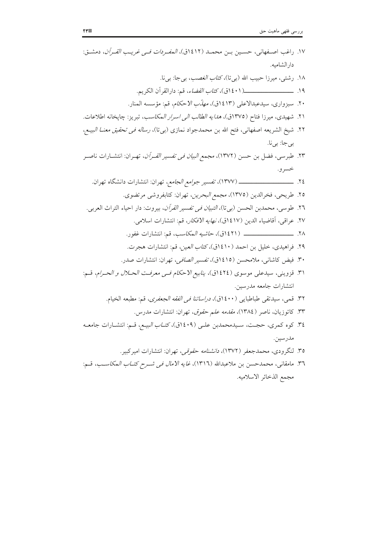*فى شــرح كتــاب المكاســب*، قــم:<br>. مجمع الذخائر الاسلاميه.